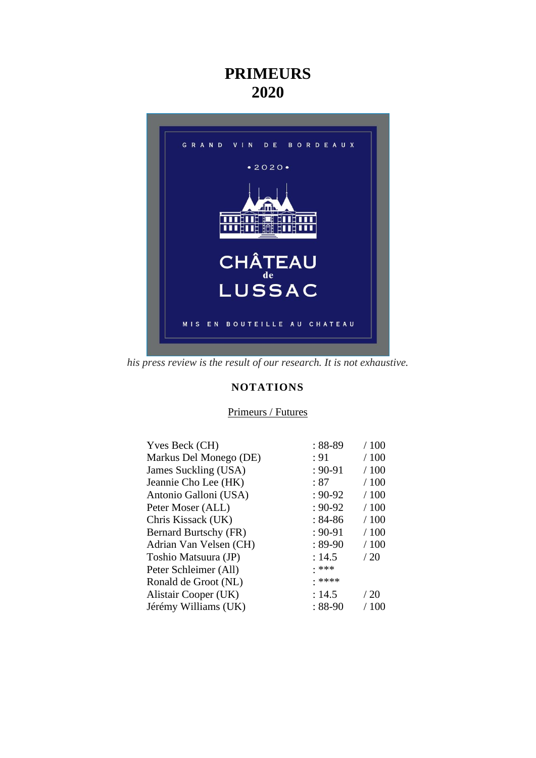# **PRIMEURS 2020**



*his press review is the result of our research. It is not exhaustive.*

# **NOTATIONS**

# Primeurs / Futures

| $:88-89$    | /100  |
|-------------|-------|
| : 91        | /100  |
| $: 90 - 91$ | /100  |
| : 87        | /100  |
| $: 90 - 92$ | /100  |
| $: 90 - 92$ | /100  |
| $:84-86$    | /100  |
| $: 90 - 91$ | /100  |
| $:89-90$    | /100  |
| : 14.5      | /20   |
| . ***       |       |
| • ****      |       |
| : 14.5      | /20   |
| $:88-90$    | / 100 |
|             |       |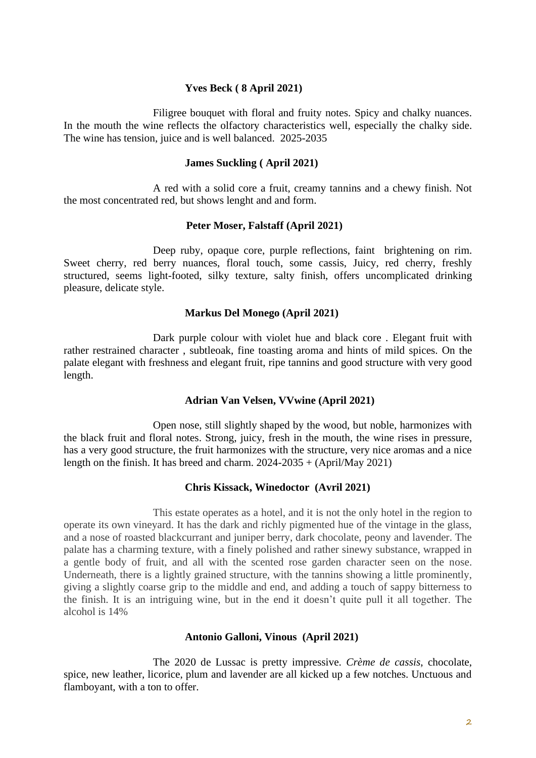# **Yves Beck ( 8 April 2021)**

Filigree bouquet with floral and fruity notes. Spicy and chalky nuances. In the mouth the wine reflects the olfactory characteristics well, especially the chalky side. The wine has tension, juice and is well balanced. 2025-2035

#### **James Suckling ( April 2021)**

A red with a solid core a fruit, creamy tannins and a chewy finish. Not the most concentrated red, but shows lenght and and form.

#### **Peter Moser, Falstaff (April 2021)**

Deep ruby, opaque core, purple reflections, faint brightening on rim. Sweet cherry, red berry nuances, floral touch, some cassis, Juicy, red cherry, freshly structured, seems light-footed, silky texture, salty finish, offers uncomplicated drinking pleasure, delicate style.

#### **Markus Del Monego (April 2021)**

Dark purple colour with violet hue and black core . Elegant fruit with rather restrained character , subtleoak, fine toasting aroma and hints of mild spices. On the palate elegant with freshness and elegant fruit, ripe tannins and good structure with very good length.

# **Adrian Van Velsen, VVwine (April 2021)**

Open nose, still slightly shaped by the wood, but noble, harmonizes with the black fruit and floral notes. Strong, juicy, fresh in the mouth, the wine rises in pressure, has a very good structure, the fruit harmonizes with the structure, very nice aromas and a nice length on the finish. It has breed and charm.  $2024-2035 + (April/May 2021)$ 

#### **Chris Kissack, Winedoctor (Avril 2021)**

This estate operates as a hotel, and it is not the only hotel in the region to operate its own vineyard. It has the dark and richly pigmented hue of the vintage in the glass, and a nose of roasted blackcurrant and juniper berry, dark chocolate, peony and lavender. The palate has a charming texture, with a finely polished and rather sinewy substance, wrapped in a gentle body of fruit, and all with the scented rose garden character seen on the nose. Underneath, there is a lightly grained structure, with the tannins showing a little prominently, giving a slightly coarse grip to the middle and end, and adding a touch of sappy bitterness to the finish. It is an intriguing wine, but in the end it doesn't quite pull it all together. The alcohol is 14%

#### **Antonio Galloni, Vinous (April 2021)**

The 2020 de Lussac is pretty impressive. *Crème de cassis*, chocolate, spice, new leather, licorice, plum and lavender are all kicked up a few notches. Unctuous and flamboyant, with a ton to offer.